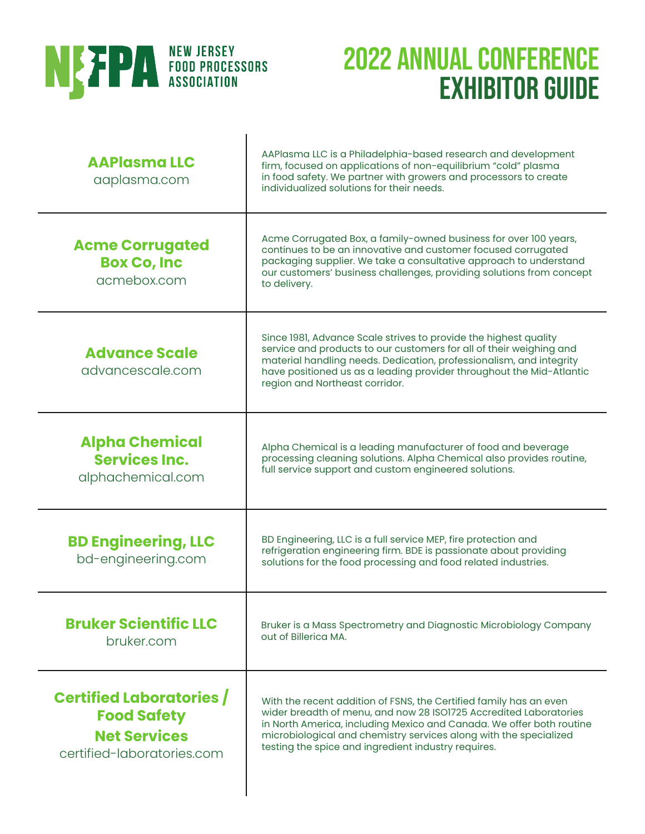

| <b>AAPlasmaLLC</b><br>aaplasma.com                                                                         | AAPlasma LLC is a Philadelphia-based research and development<br>firm, focused on applications of non-equilibrium "cold" plasma<br>in food safety. We partner with growers and processors to create<br>individualized solutions for their needs.                                                                                            |
|------------------------------------------------------------------------------------------------------------|---------------------------------------------------------------------------------------------------------------------------------------------------------------------------------------------------------------------------------------------------------------------------------------------------------------------------------------------|
| <b>Acme Corrugated</b><br><b>Box Co, Inc</b><br>acmebox.com                                                | Acme Corrugated Box, a family-owned business for over 100 years,<br>continues to be an innovative and customer focused corrugated<br>packaging supplier. We take a consultative approach to understand<br>our customers' business challenges, providing solutions from concept<br>to delivery.                                              |
| <b>Advance Scale</b><br>advancescale.com                                                                   | Since 1981, Advance Scale strives to provide the highest quality<br>service and products to our customers for all of their weighing and<br>material handling needs. Dedication, professionalism, and integrity<br>have positioned us as a leading provider throughout the Mid-Atlantic<br>region and Northeast corridor.                    |
| <b>Alpha Chemical</b><br><b>Services Inc.</b><br>alphachemical.com                                         | Alpha Chemical is a leading manufacturer of food and beverage<br>processing cleaning solutions. Alpha Chemical also provides routine,<br>full service support and custom engineered solutions.                                                                                                                                              |
| <b>BD Engineering, LLC</b><br>bd-engineering.com                                                           | BD Engineering, LLC is a full service MEP, fire protection and<br>refrigeration engineering firm. BDE is passionate about providing<br>solutions for the food processing and food related industries.                                                                                                                                       |
| <b>Bruker Scientific LLC</b><br>bruker.com                                                                 | Bruker is a Mass Spectrometry and Diagnostic Microbiology Company<br>out of Billerica MA.                                                                                                                                                                                                                                                   |
| <b>Certified Laboratories /</b><br><b>Food Safety</b><br><b>Net Services</b><br>certified-laboratories.com | With the recent addition of FSNS, the Certified family has an even<br>wider breadth of menu, and now 28 ISO1725 Accredited Laboratories<br>in North America, including Mexico and Canada. We offer both routine<br>microbiological and chemistry services along with the specialized<br>testing the spice and ingredient industry requires. |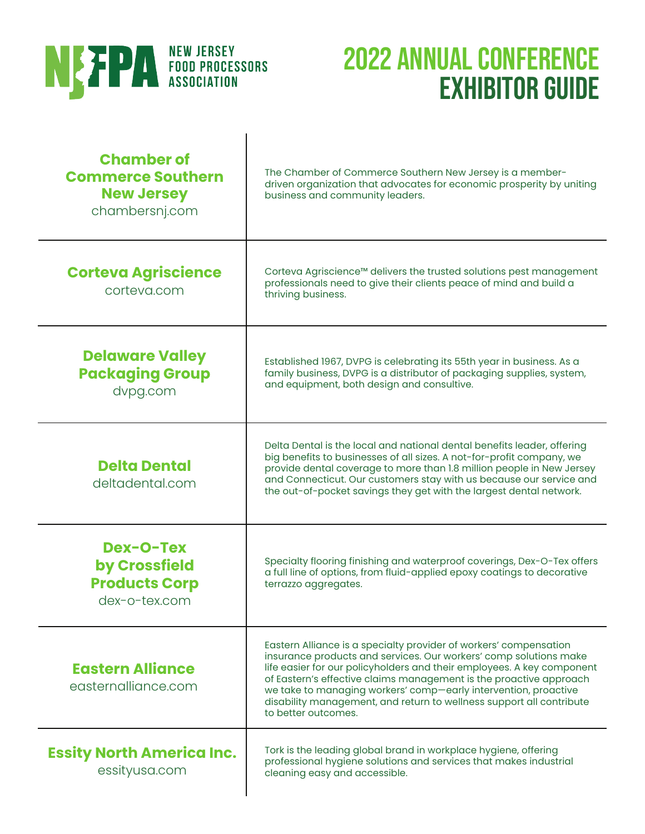

| <b>Chamber of</b><br><b>Commerce Southern</b><br><b>New Jersey</b><br>chambersnj.com | The Chamber of Commerce Southern New Jersey is a member-<br>driven organization that advocates for economic prosperity by uniting<br>business and community leaders.                                                                                                                                                                                                                                                                                     |
|--------------------------------------------------------------------------------------|----------------------------------------------------------------------------------------------------------------------------------------------------------------------------------------------------------------------------------------------------------------------------------------------------------------------------------------------------------------------------------------------------------------------------------------------------------|
| <b>Corteva Agriscience</b><br>corteva.com                                            | Corteva Agriscience™ delivers the trusted solutions pest management<br>professionals need to give their clients peace of mind and build a<br>thriving business.                                                                                                                                                                                                                                                                                          |
| <b>Delaware Valley</b><br><b>Packaging Group</b><br>dvpg.com                         | Established 1967, DVPG is celebrating its 55th year in business. As a<br>family business, DVPG is a distributor of packaging supplies, system,<br>and equipment, both design and consultive.                                                                                                                                                                                                                                                             |
| <b>Delta Dental</b><br>deltadental.com                                               | Delta Dental is the local and national dental benefits leader, offering<br>big benefits to businesses of all sizes. A not-for-profit company, we<br>provide dental coverage to more than 1.8 million people in New Jersey<br>and Connecticut. Our customers stay with us because our service and<br>the out-of-pocket savings they get with the largest dental network.                                                                                  |
| <b>Dex-O-Tex</b><br>by Crossfield<br><b>Products Corp</b><br>dex-o-tex.com           | Specialty flooring finishing and waterproof coverings, Dex-O-Tex offers<br>a full line of options, from fluid-applied epoxy coatings to decorative<br>terrazzo aggregates.                                                                                                                                                                                                                                                                               |
| <b>Eastern Alliance</b><br>easternalliance.com                                       | Eastern Alliance is a specialty provider of workers' compensation<br>insurance products and services. Our workers' comp solutions make<br>life easier for our policyholders and their employees. A key component<br>of Eastern's effective claims management is the proactive approach<br>we take to managing workers' comp-early intervention, proactive<br>disability management, and return to wellness support all contribute<br>to better outcomes. |
| <b>Essity North America Inc.</b><br>essityusa.com                                    | Tork is the leading global brand in workplace hygiene, offering<br>professional hygiene solutions and services that makes industrial<br>cleaning easy and accessible.                                                                                                                                                                                                                                                                                    |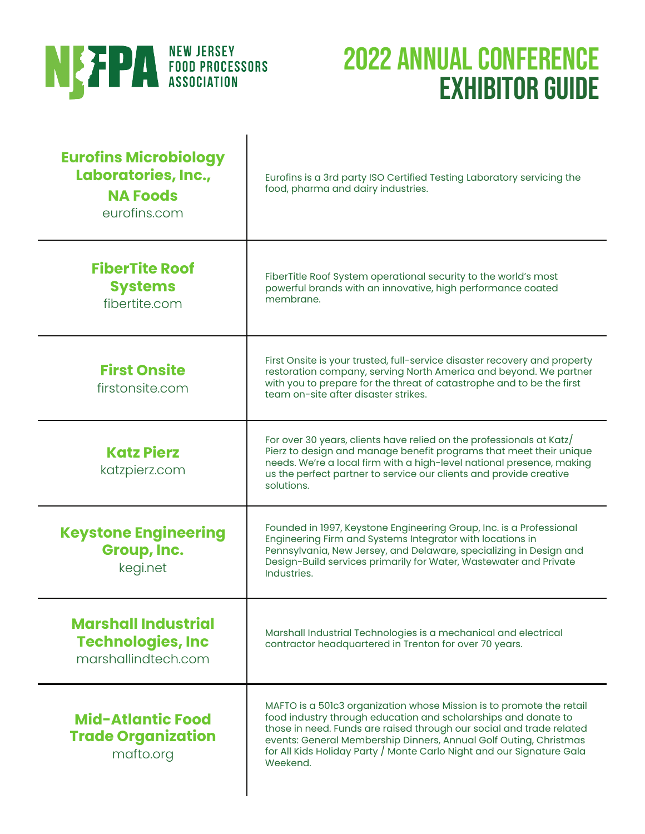

| <b>Eurofins Microbiology</b><br>Laboratories, Inc.,<br><b>NA Foods</b><br>eurofins.com | Eurofins is a 3rd party ISO Certified Testing Laboratory servicing the<br>food, pharma and dairy industries.                                                                                                                                                                                                                                                             |
|----------------------------------------------------------------------------------------|--------------------------------------------------------------------------------------------------------------------------------------------------------------------------------------------------------------------------------------------------------------------------------------------------------------------------------------------------------------------------|
| <b>FiberTite Roof</b><br><b>Systems</b><br>fibertite.com                               | FiberTitle Roof System operational security to the world's most<br>powerful brands with an innovative, high performance coated<br>membrane.                                                                                                                                                                                                                              |
| <b>First Onsite</b><br>firstonsite.com                                                 | First Onsite is your trusted, full-service disaster recovery and property<br>restoration company, serving North America and beyond. We partner<br>with you to prepare for the threat of catastrophe and to be the first<br>team on-site after disaster strikes.                                                                                                          |
| <b>Katz Pierz</b><br>katzpierz.com                                                     | For over 30 years, clients have relied on the professionals at Katz/<br>Pierz to design and manage benefit programs that meet their unique<br>needs. We're a local firm with a high-level national presence, making<br>us the perfect partner to service our clients and provide creative<br>solutions.                                                                  |
| <b>Keystone Engineering</b><br>Group, Inc.<br>kegi.net                                 | Founded in 1997, Keystone Engineering Group, Inc. is a Professional<br>Engineering Firm and Systems Integrator with locations in<br>Pennsylvania, New Jersey, and Delaware, specializing in Design and<br>Design-Build services primarily for Water, Wastewater and Private<br>Industries.                                                                               |
| <b>Marshall Industrial</b><br><b>Technologies, Inc</b><br>marshallindtech.com          | Marshall Industrial Technologies is a mechanical and electrical<br>contractor headquartered in Trenton for over 70 years.                                                                                                                                                                                                                                                |
| <b>Mid-Atlantic Food</b><br><b>Trade Organization</b><br>mafto.org                     | MAFTO is a 501c3 organization whose Mission is to promote the retail<br>food industry through education and scholarships and donate to<br>those in need. Funds are raised through our social and trade related<br>events: General Membership Dinners, Annual Golf Outing, Christmas<br>for All Kids Holiday Party / Monte Carlo Night and our Signature Gala<br>Weekend. |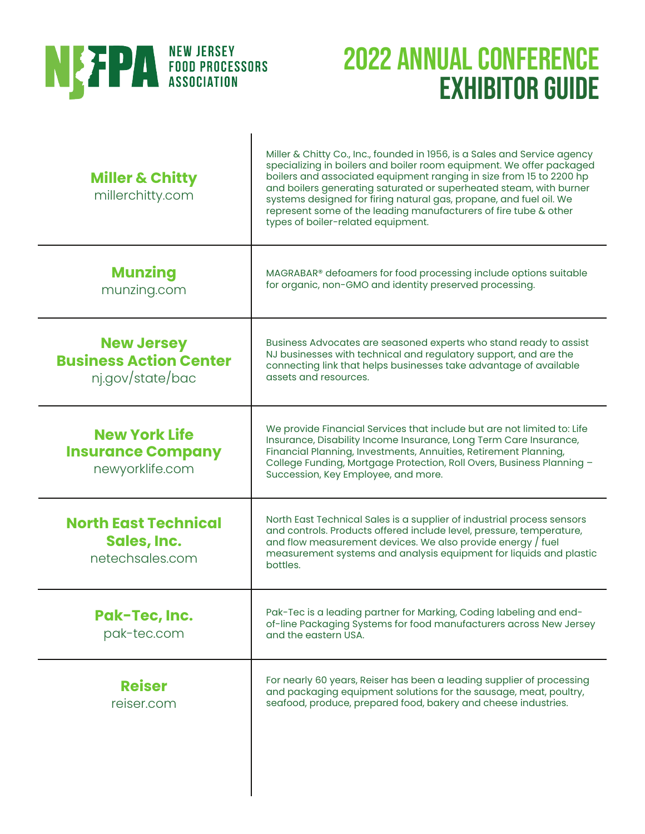

| <b>Miller &amp; Chitty</b><br>millerchitty.com                         | Miller & Chitty Co., Inc., founded in 1956, is a Sales and Service agency<br>specializing in boilers and boiler room equipment. We offer packaged<br>boilers and associated equipment ranging in size from 15 to 2200 hp<br>and boilers generating saturated or superheated steam, with burner<br>systems designed for firing natural gas, propane, and fuel oil. We<br>represent some of the leading manufacturers of fire tube & other<br>types of boiler-related equipment. |
|------------------------------------------------------------------------|--------------------------------------------------------------------------------------------------------------------------------------------------------------------------------------------------------------------------------------------------------------------------------------------------------------------------------------------------------------------------------------------------------------------------------------------------------------------------------|
| <b>Munzing</b><br>munzing.com                                          | MAGRABAR® defoamers for food processing include options suitable<br>for organic, non-GMO and identity preserved processing.                                                                                                                                                                                                                                                                                                                                                    |
| <b>New Jersey</b><br><b>Business Action Center</b><br>nj.gov/state/bac | Business Advocates are seasoned experts who stand ready to assist<br>NJ businesses with technical and regulatory support, and are the<br>connecting link that helps businesses take advantage of available<br>assets and resources.                                                                                                                                                                                                                                            |
| <b>New York Life</b><br><b>Insurance Company</b><br>newyorklife.com    | We provide Financial Services that include but are not limited to: Life<br>Insurance, Disability Income Insurance, Long Term Care Insurance,<br>Financial Planning, Investments, Annuities, Retirement Planning,<br>College Funding, Mortgage Protection, Roll Overs, Business Planning -<br>Succession, Key Employee, and more.                                                                                                                                               |
| <b>North East Technical</b><br>Sales, Inc.<br>netechsales.com          | North East Technical Sales is a supplier of industrial process sensors<br>and controls. Products offered include level, pressure, temperature,<br>and flow measurement devices. We also provide energy / fuel<br>measurement systems and analysis equipment for liquids and plastic<br>bottles.                                                                                                                                                                                |
| Pak-Tec, Inc.<br>pak-tec.com                                           | Pak-Tec is a leading partner for Marking, Coding labeling and end-<br>of-line Packaging Systems for food manufacturers across New Jersey<br>and the eastern USA.                                                                                                                                                                                                                                                                                                               |
| <b>Reiser</b><br>reiser.com                                            | For nearly 60 years, Reiser has been a leading supplier of processing<br>and packaging equipment solutions for the sausage, meat, poultry,<br>seafood, produce, prepared food, bakery and cheese industries.                                                                                                                                                                                                                                                                   |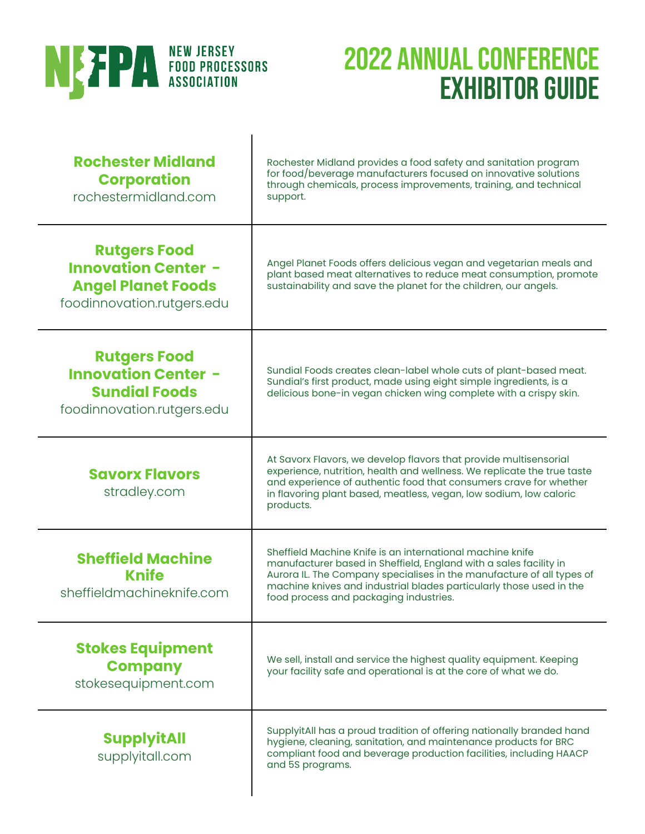

| <b>Rochester Midland</b><br><b>Corporation</b><br>rochestermidland.com                                       | Rochester Midland provides a food safety and sanitation program<br>for food/beverage manufacturers focused on innovative solutions<br>through chemicals, process improvements, training, and technical<br>support.                                                                                                       |
|--------------------------------------------------------------------------------------------------------------|--------------------------------------------------------------------------------------------------------------------------------------------------------------------------------------------------------------------------------------------------------------------------------------------------------------------------|
| <b>Rutgers Food</b><br><b>Innovation Center -</b><br><b>Angel Planet Foods</b><br>foodinnovation.rutgers.edu | Angel Planet Foods offers delicious vegan and vegetarian meals and<br>plant based meat alternatives to reduce meat consumption, promote<br>sustainability and save the planet for the children, our angels.                                                                                                              |
| <b>Rutgers Food</b><br><b>Innovation Center -</b><br><b>Sundial Foods</b><br>foodinnovation.rutgers.edu      | Sundial Foods creates clean-label whole cuts of plant-based meat.<br>Sundial's first product, made using eight simple ingredients, is a<br>delicious bone-in vegan chicken wing complete with a crispy skin.                                                                                                             |
| <b>Savorx Flavors</b><br>stradley.com                                                                        | At Savorx Flavors, we develop flavors that provide multisensorial<br>experience, nutrition, health and wellness. We replicate the true taste<br>and experience of authentic food that consumers crave for whether<br>in flavoring plant based, meatless, vegan, low sodium, low caloric<br>products.                     |
| <b>Sheffield Machine</b><br><b>Knife</b><br>sheffieldmachineknife.com                                        | Sheffield Machine Knife is an international machine knife<br>manufacturer based in Sheffield, England with a sales facility in<br>Aurora IL. The Company specialises in the manufacture of all types of<br>machine knives and industrial blades particularly those used in the<br>food process and packaging industries. |
| <b>Stokes Equipment</b><br><b>Company</b><br>stokesequipment.com                                             | We sell, install and service the highest quality equipment. Keeping<br>your facility safe and operational is at the core of what we do.                                                                                                                                                                                  |
| <b>SupplyitAll</b><br>supplyitall.com                                                                        | SupplyitAll has a proud tradition of offering nationally branded hand<br>hygiene, cleaning, sanitation, and maintenance products for BRC<br>compliant food and beverage production facilities, including HAACP<br>and 5S programs.                                                                                       |